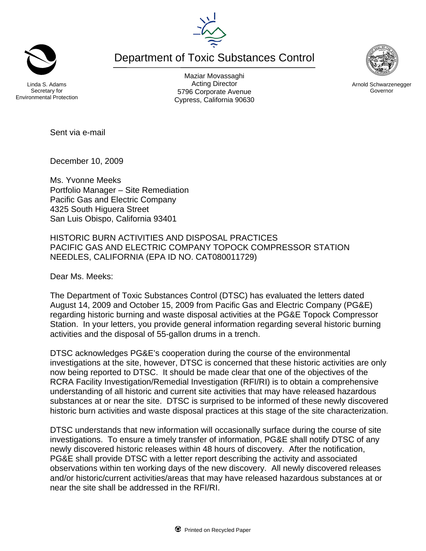Department of Toxic Substances Control

inda S. Adams Secretary for Environmental Protection

Maziar Movassaghi Acting Director 5796 Corporate Avenue Cypress, California 90630

Sent via e-mail

December 10, 2009

Ms. Yvonne Meeks Portfolio Manager – Site Remediation Pacific Gas and Electric Company 4325 South Higuera Street San Luis Obispo, California 93401

HISTORIC BURN ACTIVITIES AND DISPOSAL PRACTICES PACIFIC GAS AND ELECTRIC COMPANY TOPOCK COMPRESSOR STATION NEEDLES, CALIFORNIA (EPA ID NO. CAT080011729)

Dear Ms. Meeks:

The Department of Toxic Substances Control (DTSC) has evaluated the letters dated August 14, 2009 and October 15, 2009 from Pacific Gas and Electric Company (PG&E) regarding historic burning and waste disposal activities at the PG&E Topock Compressor Station. In your letters, you provide general information regarding several historic burning activities and the disposal of 55-gallon drums in a trench.

DTSC acknowledges PG&E's cooperation during the course of the environmental investigations at the site, however, DTSC is concerned that these historic activities are only now being reported to DTSC. It should be made clear that one of the objectives of the RCRA Facility Investigation/Remedial Investigation (RFI/RI) is to obtain a comprehensive understanding of all historic and current site activities that may have released hazardous substances at or near the site. DTSC is surprised to be informed of these newly discovered historic burn activities and waste disposal practices at this stage of the site characterization.

DTSC understands that new information will occasionally surface during the course of site investigations. To ensure a timely transfer of information, PG&E shall notify DTSC of any newly discovered historic releases within 48 hours of discovery. After the notification, PG&E shall provide DTSC with a letter report describing the activity and associated observations within ten working days of the new discovery. All newly discovered releases and/or historic/current activities/areas that may have released hazardous substances at or near the site shall be addressed in the RFI/RI.





Arnold Schwarzenegger Governor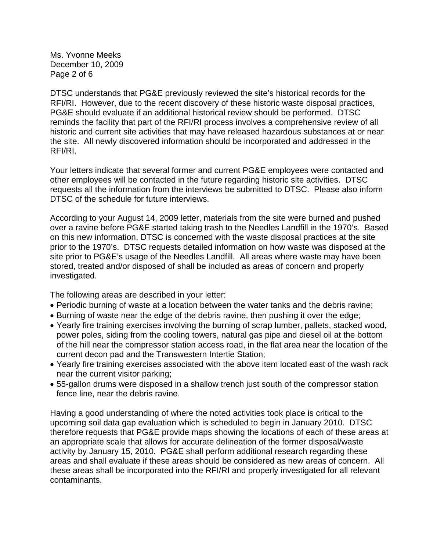Ms. Yvonne Meeks December 10, 2009 Page 2 of 6

DTSC understands that PG&E previously reviewed the site's historical records for the RFI/RI. However, due to the recent discovery of these historic waste disposal practices, PG&E should evaluate if an additional historical review should be performed. DTSC reminds the facility that part of the RFI/RI process involves a comprehensive review of all historic and current site activities that may have released hazardous substances at or near the site. All newly discovered information should be incorporated and addressed in the RFI/RI.

Your letters indicate that several former and current PG&E employees were contacted and other employees will be contacted in the future regarding historic site activities. DTSC requests all the information from the interviews be submitted to DTSC. Please also inform DTSC of the schedule for future interviews.

According to your August 14, 2009 letter, materials from the site were burned and pushed over a ravine before PG&E started taking trash to the Needles Landfill in the 1970's. Based on this new information, DTSC is concerned with the waste disposal practices at the site prior to the 1970's. DTSC requests detailed information on how waste was disposed at the site prior to PG&E's usage of the Needles Landfill. All areas where waste may have been stored, treated and/or disposed of shall be included as areas of concern and properly investigated.

The following areas are described in your letter:

- Periodic burning of waste at a location between the water tanks and the debris ravine;
- Burning of waste near the edge of the debris ravine, then pushing it over the edge;
- Yearly fire training exercises involving the burning of scrap lumber, pallets, stacked wood, power poles, siding from the cooling towers, natural gas pipe and diesel oil at the bottom of the hill near the compressor station access road, in the flat area near the location of the current decon pad and the Transwestern Intertie Station;
- Yearly fire training exercises associated with the above item located east of the wash rack near the current visitor parking;
- 55-gallon drums were disposed in a shallow trench just south of the compressor station fence line, near the debris ravine.

Having a good understanding of where the noted activities took place is critical to the upcoming soil data gap evaluation which is scheduled to begin in January 2010. DTSC therefore requests that PG&E provide maps showing the locations of each of these areas at an appropriate scale that allows for accurate delineation of the former disposal/waste activity by January 15, 2010. PG&E shall perform additional research regarding these areas and shall evaluate if these areas should be considered as new areas of concern. All these areas shall be incorporated into the RFI/RI and properly investigated for all relevant contaminants.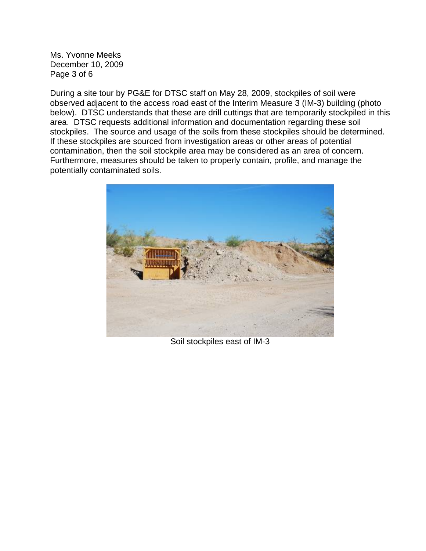Ms. Yvonne Meeks December 10, 2009 Page 3 of 6

During a site tour by PG&E for DTSC staff on May 28, 2009, stockpiles of soil were observed adjacent to the access road east of the Interim Measure 3 (IM-3) building (photo below). DTSC understands that these are drill cuttings that are temporarily stockpiled in this area. DTSC requests additional information and documentation regarding these soil stockpiles. The source and usage of the soils from these stockpiles should be determined. If these stockpiles are sourced from investigation areas or other areas of potential contamination, then the soil stockpile area may be considered as an area of concern. Furthermore, measures should be taken to properly contain, profile, and manage the potentially contaminated soils.



Soil stockpiles east of IM-3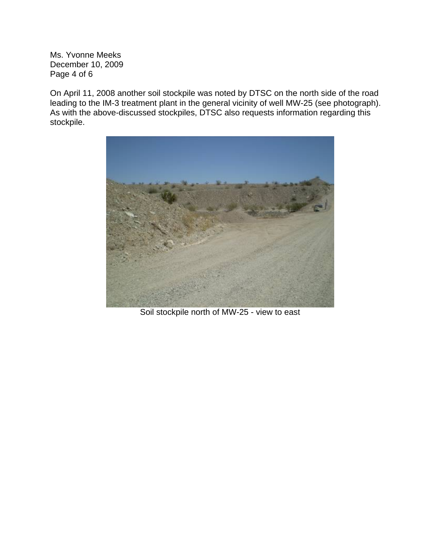Ms. Yvonne Meeks December 10, 2009 Page 4 of 6

On April 11, 2008 another soil stockpile was noted by DTSC on the north side of the road leading to the IM-3 treatment plant in the general vicinity of well MW-25 (see photograph). As with the above-discussed stockpiles, DTSC also requests information regarding this stockpile.



Soil stockpile north of MW-25 - view to east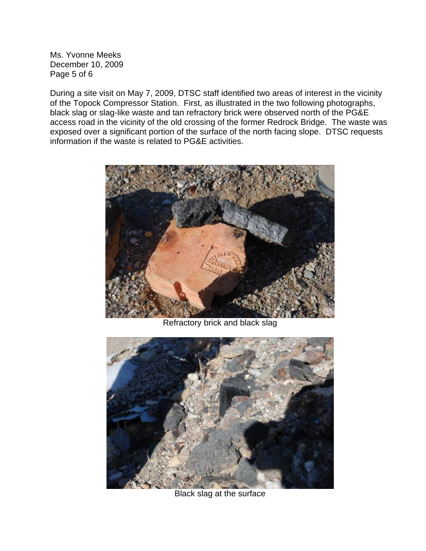Ms. Yvonne Meeks December 10, 2009 Page 5 of 6

During a site visit on May 7, 2009, DTSC staff identified two areas of interest in the vicinity of the Topock Compressor Station. First, as illustrated in the two following photographs, black slag or slag-like waste and tan refractory brick were observed north of the PG&E access road in the vicinity of the old crossing of the former Redrock Bridge. The waste was exposed over a significant portion of the surface of the north facing slope. DTSC requests information if the waste is related to PG&E activities.



Refractory brick and black slag



Black slag at the surface